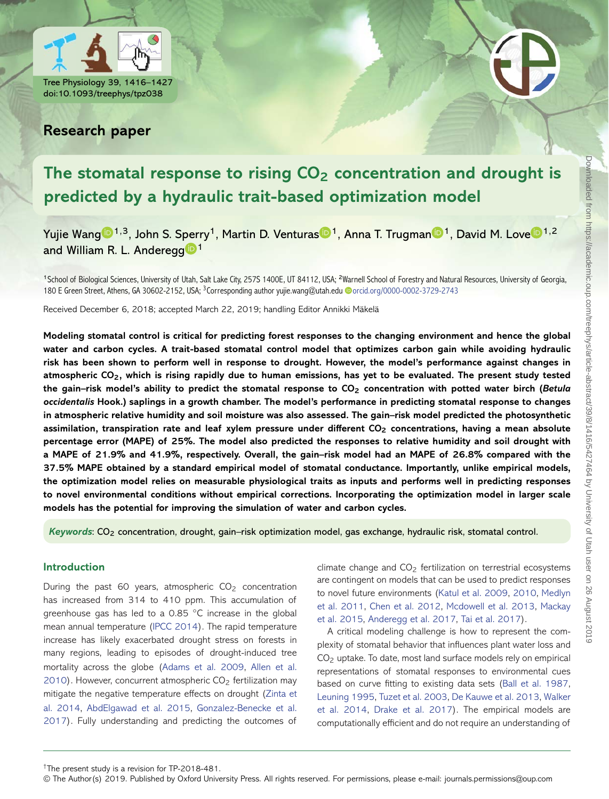



## **Research paper**

# The stomatal response to rising CO<sub>2</sub> concentration and drought is **predicted by a hydraulic trait-based optimization model**

Yujie Wan[g](http://orcid.org/0000-0002-3729-2743) <[s](http://orcid.org/0000-0001-5972-9064)up>1,3</sup>, Joh[n](https://orcid.org/0000-0002-7903-9711) S. Sp[e](http://orcid.org/0000-0002-0582-6990)rry<sup>1</sup>, Martin D. Venturas <sup>1</sup>, Anna T. Trugman <sup>1</sup>, David M. Love <sup>1,2</sup> and William R. L. Andere[g](http://orcid.org/0000-0001-6551-3331)g  $\blacksquare$ <sup>1</sup>

<sup>1</sup>School of Biological Sciences, University of Utah, Salt Lake City, 257S 1400E, UT 84112, USA; <sup>2</sup>Warnell School of Forestry and Natural Resources, University of Georgia, 180 E Green Street, Athens, GA 30602-2152, USA; <sup>3</sup>Corresponding author yujie.wang@utah.edu @[orcid.org/0000-0002-3729-2743](http://orcid.org/0000-0002-3729-2743)

Received December 6, 2018; accepted March 22, 2019; handling Editor Annikki Mäkelä

**Modeling stomatal control is critical for predicting forest responses to the changing environment and hence the global water and carbon cycles. A trait-based stomatal control model that optimizes carbon gain while avoiding hydraulic risk has been shown to perform well in response to drought. However, the model's performance against changes in atmospheric CO2, which is rising rapidly due to human emissions, has yet to be evaluated. The present study tested the gain–risk model's ability to predict the stomatal response to CO2 concentration with potted water birch (***Betula occidentalis* **Hook.) saplings in a growth chamber. The model's performance in predicting stomatal response to changes in atmospheric relative humidity and soil moisture was also assessed. The gain–risk model predicted the photosynthetic assimilation, transpiration rate and leaf xylem pressure under different CO2 concentrations, having a mean absolute percentage error (MAPE) of 25%. The model also predicted the responses to relative humidity and soil drought with a MAPE of 21.9% and 41.9%, respectively. Overall, the gain–risk model had an MAPE of 26.8% compared with the 37.5% MAPE obtained by a standard empirical model of stomatal conductance. Importantly, unlike empirical models, the optimization model relies on measurable physiological traits as inputs and performs well in predicting responses to novel environmental conditions without empirical corrections. Incorporating the optimization model in larger scale models has the potential for improving the simulation of water and carbon cycles.**

*Keywords*: CO2 concentration, drought, gain–risk optimization model, gas exchange, hydraulic risk, stomatal control.

## **Introduction**

During the past 60 years, atmospheric  $CO<sub>2</sub>$  concentration has increased from 314 to 410 ppm. This accumulation of greenhouse gas has led to a 0.85 ◦C increase in the global mean annual temperature [\(IPCC 2014\)](#page-10-0). The rapid temperature increase has likely exacerbated drought stress on forests in many regions, leading to episodes of drought-induced tree [mortality across the globe \(Adams](#page-9-1)[et](#page-9-1)[al.](#page-9-1)[2009,](#page-9-1) Allen et al. 2010). However, concurrent atmospheric  $CO<sub>2</sub>$  fertilization may [mitigate the negative temperature effects on drought \(Zinta et](#page-11-0) al. 2014, [AbdElgawad et al. 2015,](#page-9-2) Gonzalez-Benecke et al. [2017\). Fully understanding and predicting the outcomes of](#page-10-1) climate change and CO<sub>2</sub> fertilization on terrestrial ecosystems are contingent on models that can be used to predict responses [to novel future environments \(Katul](#page-10-4)[et](#page-10-4)[al.](#page-10-4)[2009,](#page-10-4) [2010,](#page-10-3) Medlyn et al. 2011, [Chen et al. 2012,](#page-9-3) [Mcdowell](#page-10-6)[et](#page-10-6)[al.](#page-10-6)[2013,](#page-10-6) Mackay et al. 2015, [Anderegg et al. 2017,](#page-9-4) [Tai et al. 2017\)](#page-10-7).

A critical modeling challenge is how to represent the complexity of stomatal behavior that influences plant water loss and  $CO<sub>2</sub>$  uptake. To date, most land surface models rely on empirical representations of stomatal responses to environmental cues based on curve fitting to existing data sets [\(Ball et al. 1987,](#page-9-5) [Leuning 1995,](#page-10-8) [Tuzet et al. 2003,](#page-10-9) [De Kauwe et al. 2013,](#page-9-6) Walker et al. 2014, [Drake et al. 2017\). The empirical models are](#page-10-10) computationally efficient and do not require an understanding of

†The present study is a revision for TP-2018-481.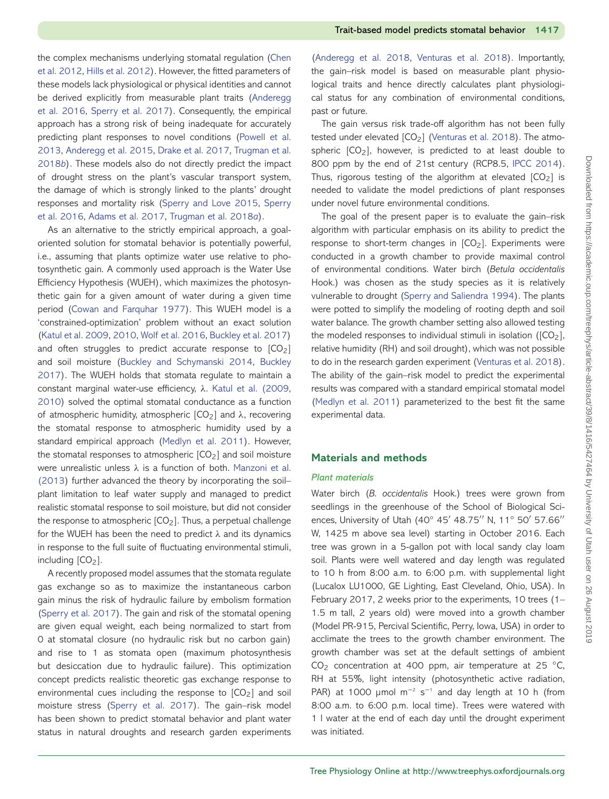[the complex mechanisms underlying stomatal regulation \(Chen](#page-9-3) et al. 2012, [Hills et al. 2012\)](#page-10-11). However, the fitted parameters of these models lack physiological or physical identities and cannot [be derived explicitly from measurable plant traits \(Anderegg](#page-9-8) et al. 2016, [Sperry et al. 2017\)](#page-10-12). Consequently, the empirical approach has a strong risk of being inadequate for accurately [predicting plant responses to novel conditions \(Powell et al.](#page-10-13) 2013, [Anderegg et al. 2015,](#page-9-9) [Drake et al. 2017,](#page-9-7) Trugman et al. 2018*b*[\). These models also do not directly predict the impact](#page-10-14) of drought stress on the plant's vascular transport system, the damage of which is strongly linked to the plants' drought [responses and mortality risk \(](#page-10-16)[Sperry and Love 2015](#page-10-15)[,](#page-10-16) Sperry et al. 2016, [Adams et al. 2017,](#page-9-10) [Trugman et al. 2018](#page-10-17)*a*).

As an alternative to the strictly empirical approach, a goaloriented solution for stomatal behavior is potentially powerful, i.e., assuming that plants optimize water use relative to photosynthetic gain. A commonly used approach is the Water Use Efficiency Hypothesis (WUEH), which maximizes the photosynthetic gain for a given amount of water during a given time period [\(Cowan and Farquhar 1977\)](#page-9-11). This WUEH model is a 'constrained-optimization' problem without an exact solution [\(Katul et al. 2009,](#page-10-2) [2010,](#page-10-3) [Wolf et al. 2016,](#page-11-1) [Buckley et al. 2017\)](#page-9-12) and often struggles to predict accurate response to  $[CO<sub>2</sub>]$ and soil moisture [\(Buckley and Schymanski 2014,](#page-9-13) Buckley [2017\). The WUEH holds that stomata regulate to maintain a](#page-9-14) constant marginal water-use efficiency, *λ*. [Katul et al. \(2009,](#page-10-2) [2010\)](#page-10-3) solved the optimal stomatal conductance as a function of atmospheric humidity, atmospheric [CO2] and *λ*, recovering the stomatal response to atmospheric humidity used by a standard empirical approach [\(Medlyn et al. 2011\)](#page-10-4). However, the stomatal responses to atmospheric  $[CO<sub>2</sub>]$  and soil moisture were unrealistic unless *λ* is a function of both. Manzoni et al. [\(2013\) further advanced the theory by incorporating the soil–](#page-10-18) plant limitation to leaf water supply and managed to predict realistic stomatal response to soil moisture, but did not consider the response to atmospheric  $[CO<sub>2</sub>]$ . Thus, a perpetual challenge for the WUEH has been the need to predict *λ* and its dynamics in response to the full suite of fluctuating environmental stimuli, including [CO<sub>2</sub>].

A recently proposed model assumes that the stomata regulate gas exchange so as to maximize the instantaneous carbon gain minus the risk of hydraulic failure by embolism formation [\(Sperry et al. 2017\)](#page-10-12). The gain and risk of the stomatal opening are given equal weight, each being normalized to start from 0 at stomatal closure (no hydraulic risk but no carbon gain) and rise to 1 as stomata open (maximum photosynthesis but desiccation due to hydraulic failure). This optimization concept predicts realistic theoretic gas exchange response to environmental cues including the response to  $[CO<sub>2</sub>]$  and soil moisture stress [\(Sperry et al. 2017\)](#page-10-12). The gain–risk model has been shown to predict stomatal behavior and plant water status in natural droughts and research garden experiments

[\(Anderegg et al. 2018,](#page-9-15) [Venturas et al. 2018\)](#page-10-19). Importantly, the gain–risk model is based on measurable plant physiological traits and hence directly calculates plant physiological status for any combination of environmental conditions, past or future.

The gain versus risk trade-off algorithm has not been fully tested under elevated  $[CO<sub>2</sub>]$  [\(Venturas et al. 2018\)](#page-10-19). The atmospheric  $[CO_2]$ , however, is predicted to at least double to 800 ppm by the end of 21st century (RCP8.5, [IPCC 2014\)](#page-10-0). Thus, rigorous testing of the algorithm at elevated  $[CO<sub>2</sub>]$  is needed to validate the model predictions of plant responses under novel future environmental conditions.

The goal of the present paper is to evaluate the gain–risk algorithm with particular emphasis on its ability to predict the response to short-term changes in  $[CO<sub>2</sub>]$ . Experiments were conducted in a growth chamber to provide maximal control of environmental conditions. Water birch (*Betula occidentalis* Hook.) was chosen as the study species as it is relatively vulnerable to drought [\(Sperry and Saliendra 1994\)](#page-10-20). The plants were potted to simplify the modeling of rooting depth and soil water balance. The growth chamber setting also allowed testing the modeled responses to individual stimuli in isolation ( $[CO<sub>2</sub>]$ , relative humidity (RH) and soil drought), which was not possible to do in the research garden experiment [\(Venturas et al. 2018\)](#page-10-19). The ability of the gain–risk model to predict the experimental results was compared with a standard empirical stomatal model [\(Medlyn et al. 2011\)](#page-10-4) parameterized to the best fit the same experimental data.

#### **Materials and methods**

#### *Plant materials*

Water birch (*B. occidentalis* Hook.) trees were grown from seedlings in the greenhouse of the School of Biological Sciences, University of Utah (40° 45' 48.75" N, 11° 50' 57.66" W, 1425 m above sea level) starting in October 2016. Each tree was grown in a 5-gallon pot with local sandy clay loam soil. Plants were well watered and day length was regulated to 10 h from 8:00 a.m. to 6:00 p.m. with supplemental light (Lucalox LU1000, GE Lighting, East Cleveland, Ohio, USA). In February 2017, 2 weeks prior to the experiments, 10 trees (1– 1.5 m tall, 2 years old) were moved into a growth chamber (Model PR-915, Percival Scientific, Perry, Iowa, USA) in order to acclimate the trees to the growth chamber environment. The growth chamber was set at the default settings of ambient  $CO<sub>2</sub>$  concentration at 400 ppm, air temperature at 25  $°C$ , RH at 55%, light intensity (photosynthetic active radiation, PAR) at 1000 µmol  $m^{-2}$  s<sup>-1</sup> and day length at 10 h (from 8:00 a.m. to 6:00 p.m. local time). Trees were watered with 1 l water at the end of each day until the drought experiment was initiated.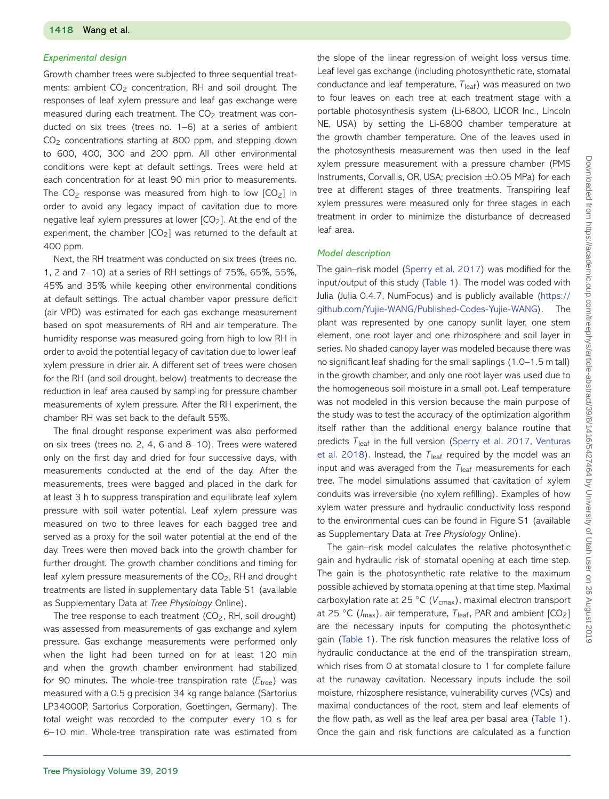#### *Experimental design*

Growth chamber trees were subjected to three sequential treatments: ambient  $CO<sub>2</sub>$  concentration, RH and soil drought. The responses of leaf xylem pressure and leaf gas exchange were measured during each treatment. The  $CO<sub>2</sub>$  treatment was conducted on six trees (trees no. 1–6) at a series of ambient  $CO<sub>2</sub>$  concentrations starting at 800 ppm, and stepping down to 600, 400, 300 and 200 ppm. All other environmental conditions were kept at default settings. Trees were held at each concentration for at least 90 min prior to measurements. The  $CO<sub>2</sub>$  response was measured from high to low  $[CO<sub>2</sub>]$  in order to avoid any legacy impact of cavitation due to more negative leaf xylem pressures at lower  $[CO<sub>2</sub>]$ . At the end of the experiment, the chamber  $[CO<sub>2</sub>]$  was returned to the default at 400 ppm.

Next, the RH treatment was conducted on six trees (trees no. 1, 2 and 7–10) at a series of RH settings of 75%, 65%, 55%, 45% and 35% while keeping other environmental conditions at default settings. The actual chamber vapor pressure deficit (air VPD) was estimated for each gas exchange measurement based on spot measurements of RH and air temperature. The humidity response was measured going from high to low RH in order to avoid the potential legacy of cavitation due to lower leaf xylem pressure in drier air. A different set of trees were chosen for the RH (and soil drought, below) treatments to decrease the reduction in leaf area caused by sampling for pressure chamber measurements of xylem pressure. After the RH experiment, the chamber RH was set back to the default 55%.

The final drought response experiment was also performed on six trees (trees no. 2, 4, 6 and 8–10). Trees were watered only on the first day and dried for four successive days, with measurements conducted at the end of the day. After the measurements, trees were bagged and placed in the dark for at least 3 h to suppress transpiration and equilibrate leaf xylem pressure with soil water potential. Leaf xylem pressure was measured on two to three leaves for each bagged tree and served as a proxy for the soil water potential at the end of the day. Trees were then moved back into the growth chamber for further drought. The growth chamber conditions and timing for leaf xylem pressure measurements of the  $CO<sub>2</sub>$ , RH and drought treatments are listed in supplementary data Table S1 (available as Supplementary Data at *Tree Physiology* Online).

The tree response to each treatment  $(CO<sub>2</sub>, RH, soil drought)$ was assessed from measurements of gas exchange and xylem pressure. Gas exchange measurements were performed only when the light had been turned on for at least 120 min and when the growth chamber environment had stabilized for 90 minutes. The whole-tree transpiration rate ( $E_{\text{tree}}$ ) was measured with a 0.5 g precision 34 kg range balance (Sartorius LP34000P, Sartorius Corporation, Goettingen, Germany). The total weight was recorded to the computer every 10 s for 6–10 min. Whole-tree transpiration rate was estimated from

the slope of the linear regression of weight loss versus time. Leaf level gas exchange (including photosynthetic rate, stomatal conductance and leaf temperature,  $T_{\text{leaf}}$ ) was measured on two to four leaves on each tree at each treatment stage with a portable photosynthesis system (Li-6800, LICOR Inc., Lincoln NE, USA) by setting the Li-6800 chamber temperature at the growth chamber temperature. One of the leaves used in the photosynthesis measurement was then used in the leaf xylem pressure measurement with a pressure chamber (PMS Instruments, Corvallis, OR, USA; precision  $\pm$ 0.05 MPa) for each tree at different stages of three treatments. Transpiring leaf xylem pressures were measured only for three stages in each treatment in order to minimize the disturbance of decreased leaf area.

#### *Model description*

The gain–risk model [\(Sperry et al. 2017\)](#page-10-12) was modified for the input/output of this study [\(Table 1\)](#page-3-0). The model was coded with Julia (Julia 0.4.7, NumFocus) and is publicly available [\(https://](https://github.com/Yujie-WANG/Published-Codes-Yujie-WANG) [github.com/Yujie-WANG/Published-Codes-Yujie-WANG\)](https://github.com/Yujie-WANG/Published-Codes-Yujie-WANG). The plant was represented by one canopy sunlit layer, one stem element, one root layer and one rhizosphere and soil layer in series. No shaded canopy layer was modeled because there was no significant leaf shading for the small saplings (1.0–1.5 m tall) in the growth chamber, and only one root layer was used due to the homogeneous soil moisture in a small pot. Leaf temperature was not modeled in this version because the main purpose of the study was to test the accuracy of the optimization algorithm itself rather than the additional energy balance routine that predicts *T*leaf [in the full version \(](#page-10-19)[Sperry et al. 2017](#page-10-12)[,](#page-10-19) Venturas et al. 2018). Instead, the  $T_{\text{leaf}}$  required by the model was an input and was averaged from the  $T_{\text{leaf}}$  measurements for each tree. The model simulations assumed that cavitation of xylem conduits was irreversible (no xylem refilling). Examples of how xylem water pressure and hydraulic conductivity loss respond to the environmental cues can be found in Figure S1 (available as Supplementary Data at *Tree Physiology* Online).

The gain–risk model calculates the relative photosynthetic gain and hydraulic risk of stomatal opening at each time step. The gain is the photosynthetic rate relative to the maximum possible achieved by stomata opening at that time step. Maximal carboxylation rate at 25 °C (V<sub>cmax</sub>), maximal electron transport at 25  $\degree$ C ( $J_{\text{max}}$ ), air temperature,  $T_{\text{leaf}}$ , PAR and ambient [CO<sub>2</sub>] are the necessary inputs for computing the photosynthetic gain [\(Table 1\)](#page-3-0). The risk function measures the relative loss of hydraulic conductance at the end of the transpiration stream, which rises from 0 at stomatal closure to 1 for complete failure at the runaway cavitation. Necessary inputs include the soil moisture, rhizosphere resistance, vulnerability curves (VCs) and maximal conductances of the root, stem and leaf elements of the flow path, as well as the leaf area per basal area [\(Table 1\)](#page-3-0). Once the gain and risk functions are calculated as a function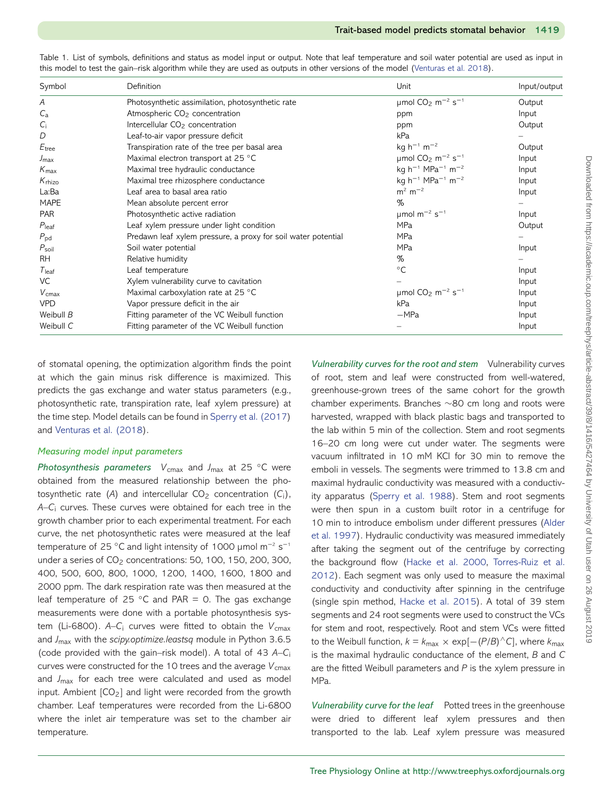| Symbol             | Definition                                                    | Unit                                                      | Input/output<br>Output |
|--------------------|---------------------------------------------------------------|-----------------------------------------------------------|------------------------|
| A                  | Photosynthetic assimilation, photosynthetic rate              | umol $CO_2$ m <sup>-2</sup> s <sup>-1</sup>               |                        |
| $C_{a}$            | Atmospheric CO <sub>2</sub> concentration                     | ppm                                                       | Input                  |
| $C_i$              | Intercellular CO <sub>2</sub> concentration                   | ppm                                                       | Output                 |
| D                  | Leaf-to-air vapor pressure deficit                            | kPa                                                       |                        |
| $E_{\rm tree}$     | Transpiration rate of the tree per basal area                 | $kg h^{-1} m^{-2}$                                        | Output                 |
| $J_{\text{max}}$   | Maximal electron transport at 25 °C                           | $\mu$ mol CO <sub>2</sub> m <sup>-2</sup> s <sup>-1</sup> | Input                  |
| $K_{\text{max}}$   | Maximal tree hydraulic conductance                            | kg $h^{-1}$ MPa <sup>-1</sup> m <sup>-2</sup>             | Input                  |
| $K_{\text{rhizo}}$ | Maximal tree rhizosphere conductance                          | kg $h^{-1}$ MPa <sup>-1</sup> m <sup>-2</sup>             | Input                  |
| La:Ba              | Leaf area to basal area ratio                                 | $m^2$ m <sup>-2</sup>                                     | Input                  |
| <b>MAPE</b>        | Mean absolute percent error                                   | $\%$                                                      |                        |
| <b>PAR</b>         | Photosynthetic active radiation                               | $\mu$ mol m <sup>-2</sup> s <sup>-1</sup>                 | Input                  |
| $P_{\text{leaf}}$  | Leaf xylem pressure under light condition                     | <b>MPa</b>                                                | Output                 |
| $P_{\rm pd}$       | Predawn leaf xylem pressure, a proxy for soil water potential | <b>MPa</b>                                                |                        |
| $P_{\rm soil}$     | Soil water potential                                          | <b>MPa</b>                                                | Input                  |
| <b>RH</b>          | Relative humidity                                             | %                                                         |                        |
| $T_{\text{leaf}}$  | Leaf temperature                                              | $\circ$ C                                                 | Input                  |
| VC                 | Xylem vulnerability curve to cavitation                       |                                                           | Input                  |
| $V_{\text{cmax}}$  | Maximal carboxylation rate at 25 °C                           | umol $CO_2$ m <sup>-2</sup> s <sup>-1</sup>               | Input                  |
| <b>VPD</b>         | Vapor pressure deficit in the air                             | kPa                                                       | Input                  |
| Weibull B          | Fitting parameter of the VC Weibull function                  | $-MPa$                                                    | Input                  |
| Weibull C          | Fitting parameter of the VC Weibull function                  |                                                           | Input                  |

<span id="page-3-0"></span>Table 1. List of symbols, definitions and status as model input or output. Note that leaf temperature and soil water potential are used as input in this model to test the gain–risk algorithm while they are used as outputs in other versions of the model [\(Venturas et al. 2018\)](#page-10-19).

of stomatal opening, the optimization algorithm finds the point at which the gain minus risk difference is maximized. This predicts the gas exchange and water status parameters (e.g., photosynthetic rate, transpiration rate, leaf xylem pressure) at the time step. Model details can be found in [Sperry et al. \(2017\)](#page-10-12) and [Venturas et al. \(2018\)](#page-10-19).

#### *Measuring model input parameters*

*Photosynthesis parameters V*<sub>cmax</sub> and *J*<sub>max</sub> at 25 °C were obtained from the measured relationship between the photosynthetic rate (A) and intercellular  $CO<sub>2</sub>$  concentration (C<sub>i</sub>), *A*–*C*<sup>i</sup> curves. These curves were obtained for each tree in the growth chamber prior to each experimental treatment. For each curve, the net photosynthetic rates were measured at the leaf temperature of 25 °C and light intensity of 1000 μmol m<sup>-2</sup> s<sup>-1</sup> under a series of  $CO<sub>2</sub>$  concentrations: 50, 100, 150, 200, 300, 400, 500, 600, 800, 1000, 1200, 1400, 1600, 1800 and 2000 ppm. The dark respiration rate was then measured at the leaf temperature of 25  $°C$  and PAR = 0. The gas exchange measurements were done with a portable photosynthesis system (Li-6800).  $A-C_i$  curves were fitted to obtain the  $V_{\text{cmax}}$ and *J*max with the *scipy.optimize.leastsq* module in Python 3.6.5 (code provided with the gain–risk model). A total of 43 *A*–*C*<sup>i</sup> curves were constructed for the 10 trees and the average  $V_{\text{cmax}}$ and *J*max for each tree were calculated and used as model input. Ambient  $[CO<sub>2</sub>]$  and light were recorded from the growth chamber. Leaf temperatures were recorded from the Li-6800 where the inlet air temperature was set to the chamber air temperature.

*Vulnerability curves for the root and stem* Vulnerability curves of root, stem and leaf were constructed from well-watered, greenhouse-grown trees of the same cohort for the growth chamber experiments. Branches ∼80 cm long and roots were harvested, wrapped with black plastic bags and transported to the lab within 5 min of the collection. Stem and root segments 16–20 cm long were cut under water. The segments were vacuum infiltrated in 10 mM KCl for 30 min to remove the emboli in vessels. The segments were trimmed to 13.8 cm and maximal hydraulic conductivity was measured with a conductivity apparatus [\(Sperry et al. 1988\)](#page-10-21). Stem and root segments were then spun in a custom built rotor in a centrifuge for [10 min to introduce embolism under different pressures \(Alder](#page-9-16) et al. 1997). Hydraulic conductivity was measured immediately after taking the segment out of the centrifuge by correcting the background flow [\(Hacke et al. 2000,](#page-10-22) Torres-Ruiz et al. [2012\). Each segment was only used to measure the maximal](#page-10-23) conductivity and conductivity after spinning in the centrifuge (single spin method, [Hacke et al. 2015\)](#page-10-24). A total of 39 stem segments and 24 root segments were used to construct the VCs for stem and root, respectively. Root and stem VCs were fitted to the Weibull function,  $k = k_{max} \times \exp[-(P/B)^{∩}C]$ , where  $k_{max}$ is the maximal hydraulic conductance of the element, *B* and *C* are the fitted Weibull parameters and *P* is the xylem pressure in MPa.

*Vulnerability curve for the leaf* Potted trees in the greenhouse were dried to different leaf xylem pressures and then transported to the lab. Leaf xylem pressure was measured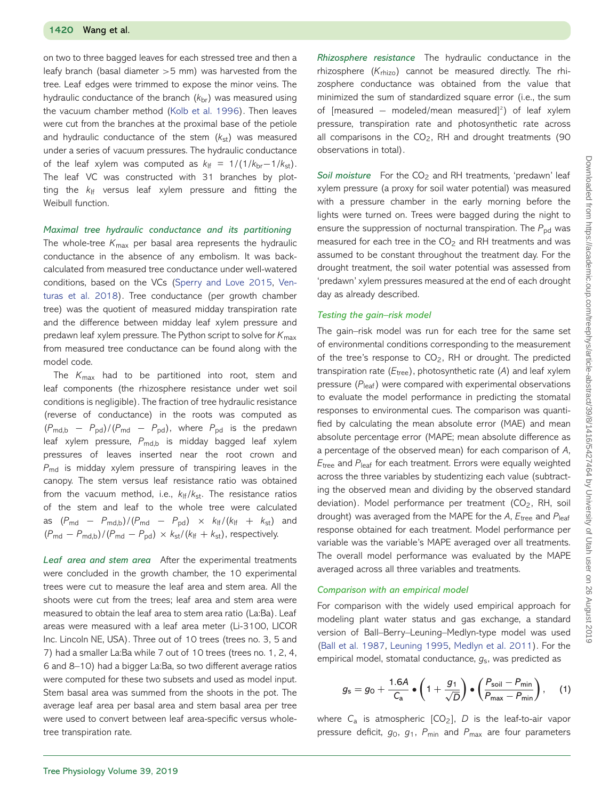on two to three bagged leaves for each stressed tree and then a leafy branch (basal diameter *>*5 mm) was harvested from the tree. Leaf edges were trimmed to expose the minor veins. The hydraulic conductance of the branch ( $k<sub>br</sub>$ ) was measured using the vacuum chamber method [\(Kolb et al. 1996\)](#page-10-25). Then leaves were cut from the branches at the proximal base of the petiole and hydraulic conductance of the stem ( $k_{st}$ ) was measured under a series of vacuum pressures. The hydraulic conductance of the leaf xylem was computed as  $k_{\text{lf}} = 1/(1/k_{\text{br}}-1/k_{\text{st}})$ . The leaf VC was constructed with 31 branches by plotting the *k*lf versus leaf xylem pressure and fitting the Weibull function.

#### *Maximal tree hydraulic conductance and its partitioning*

The whole-tree  $K_{\text{max}}$  per basal area represents the hydraulic conductance in the absence of any embolism. It was backcalculated from measured tree conductance under well-watered conditions, based on the VCs [\(Sperry and Love 2015,](#page-10-15) Ven[turas et al. 2018\). Tree conductance \(per growth chamber](#page-10-19) tree) was the quotient of measured midday transpiration rate and the difference between midday leaf xylem pressure and predawn leaf xylem pressure. The Python script to solve for *K*max from measured tree conductance can be found along with the model code.

The *K*max had to be partitioned into root, stem and leaf components (the rhizosphere resistance under wet soil conditions is negligible). The fraction of tree hydraulic resistance (reverse of conductance) in the roots was computed as (*P*md,b − *P*pd)/(*P*md − *P*pd), where *P*pd is the predawn leaf xylem pressure, P<sub>md,b</sub> is midday bagged leaf xylem pressures of leaves inserted near the root crown and *P<sub>md</sub>* is midday xylem pressure of transpiring leaves in the canopy. The stem versus leaf resistance ratio was obtained from the vacuum method, i.e.,  $k_{\text{lf}}/k_{\text{st}}$ . The resistance ratios of the stem and leaf to the whole tree were calculated as  $(P_{\text{md}} - P_{\text{md,b}})/(P_{\text{md}} - P_{\text{pd}}) \times k_{\text{lf}}/(k_{\text{lf}} + k_{\text{st}})$  and  $(P_{\text{md}} - P_{\text{md,b}})/(P_{\text{md}} - P_{\text{pd}}) \times k_{\text{st}}/(k_{\text{lf}} + k_{\text{st}})$ , respectively.

*Leaf area and stem area* After the experimental treatments were concluded in the growth chamber, the 10 experimental trees were cut to measure the leaf area and stem area. All the shoots were cut from the trees; leaf area and stem area were measured to obtain the leaf area to stem area ratio (La:Ba). Leaf areas were measured with a leaf area meter (Li-3100, LICOR Inc. Lincoln NE, USA). Three out of 10 trees (trees no. 3, 5 and 7) had a smaller La:Ba while 7 out of 10 trees (trees no. 1, 2, 4, 6 and 8–10) had a bigger La:Ba, so two different average ratios were computed for these two subsets and used as model input. Stem basal area was summed from the shoots in the pot. The average leaf area per basal area and stem basal area per tree were used to convert between leaf area-specific versus wholetree transpiration rate.

*Rhizosphere resistance* The hydraulic conductance in the rhizosphere (*K*rhizo) cannot be measured directly. The rhizosphere conductance was obtained from the value that minimized the sum of standardized square error (i.e., the sum of [measured – modeled/mean measured]<sup>2</sup>) of leaf xylem pressure, transpiration rate and photosynthetic rate across all comparisons in the  $CO<sub>2</sub>$ , RH and drought treatments (90 observations in total).

Soil moisture For the CO<sub>2</sub> and RH treatments, 'predawn' leaf xylem pressure (a proxy for soil water potential) was measured with a pressure chamber in the early morning before the lights were turned on. Trees were bagged during the night to ensure the suppression of nocturnal transpiration. The *P*<sub>pd</sub> was measured for each tree in the  $CO<sub>2</sub>$  and RH treatments and was assumed to be constant throughout the treatment day. For the drought treatment, the soil water potential was assessed from 'predawn' xylem pressures measured at the end of each drought day as already described.

#### *Testing the gain–risk model*

The gain–risk model was run for each tree for the same set of environmental conditions corresponding to the measurement of the tree's response to CO<sub>2</sub>, RH or drought. The predicted transpiration rate ( $E_{\text{tree}}$ ), photosynthetic rate (A) and leaf xylem pressure ( $P_{\text{leaf}}$ ) were compared with experimental observations to evaluate the model performance in predicting the stomatal responses to environmental cues. The comparison was quantified by calculating the mean absolute error (MAE) and mean absolute percentage error (MAPE; mean absolute difference as a percentage of the observed mean) for each comparison of *A*, *E*tree and *P*leaf for each treatment. Errors were equally weighted across the three variables by studentizing each value (subtracting the observed mean and dividing by the observed standard deviation). Model performance per treatment  $(CO<sub>2</sub>, RH, soil$ drought) was averaged from the MAPE for the *A*, *E*tree and *P*leaf response obtained for each treatment. Model performance per variable was the variable's MAPE averaged over all treatments. The overall model performance was evaluated by the MAPE averaged across all three variables and treatments.

#### *Comparison with an empirical model*

For comparison with the widely used empirical approach for modeling plant water status and gas exchange, a standard version of Ball–Berry–Leuning–Medlyn-type model was used [\(Ball et al. 1987,](#page-9-5) [Leuning 1995,](#page-10-8) [Medlyn et al. 2011\)](#page-10-4). For the empirical model, stomatal conductance, *g*s, was predicted as

<span id="page-4-0"></span>
$$
g_{\rm s}=g_0+\frac{1.6A}{C_{\rm a}}\bullet\left(1+\frac{g_1}{\sqrt{D}}\right)\bullet\left(\frac{P_{\rm soil}-P_{\rm min}}{P_{\rm max}-P_{\rm min}}\right),\quad (1)
$$

where C<sub>a</sub> is atmospheric [CO<sub>2</sub>], D is the leaf-to-air vapor pressure deficit, *g*0, *g*1, *P*min and *P*max are four parameters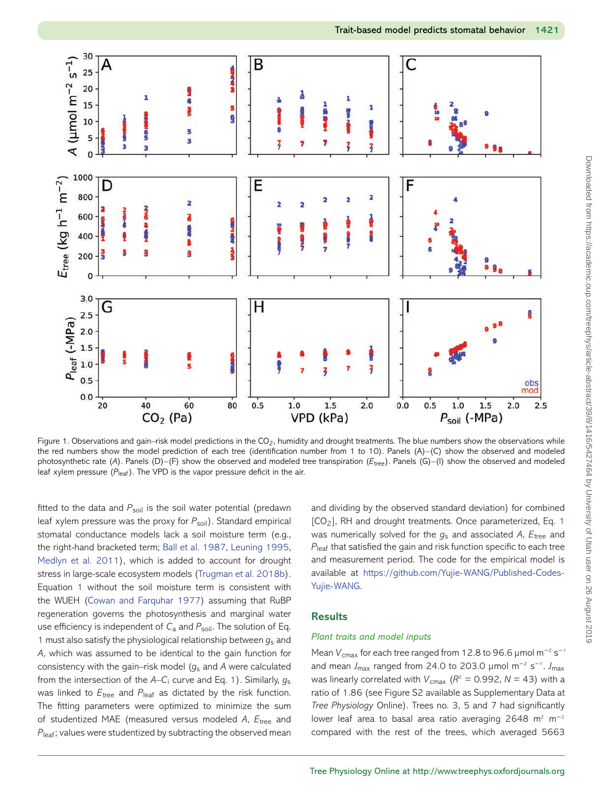

<span id="page-5-0"></span>Figure 1. Observations and gain–risk model predictions in the CO<sub>2</sub>, humidity and drought treatments. The blue numbers show the observations while the red numbers show the model prediction of each tree (identification number from 1 to 10). Panels (A)–(C) show the observed and modeled photosynthetic rate (*A*). Panels (D)–(F) show the observed and modeled tree transpiration (*E*tree). Panels (G)–(I) show the observed and modeled leaf xylem pressure ( $P_{\text{leaf}}$ ). The VPD is the vapor pressure deficit in the air.

fitted to the data and P<sub>soil</sub> is the soil water potential (predawn leaf xylem pressure was the proxy for  $P_{\text{sol}}$ ). Standard empirical stomatal conductance models lack a soil moisture term (e.g., the right-hand bracketed term; [Ball et al. 1987,](#page-9-5) [Leuning 1995,](#page-10-8) [Medlyn et al. 2011\)](#page-10-4), which is added to account for drought stress in large-scale ecosystem models [\(Trugman et al. 2018b\)](#page-10-14). Equation [1](#page-4-0) without the soil moisture term is consistent with the WUEH [\(Cowan and Farquhar 1977\)](#page-9-11) assuming that RuBP regeneration governs the photosynthesis and marginal water use efficiency is independent of C<sub>a</sub> and P<sub>soil</sub>. The solution of Eq. [1](#page-4-0) must also satisfy the physiological relationship between *g*<sup>s</sup> and *A*, which was assumed to be identical to the gain function for consistency with the gain–risk model (*g*<sup>s</sup> and *A* were calculated from the intersection of the *A*–*C*<sup>i</sup> curve and Eq. [1\)](#page-4-0). Similarly, *g*<sup>s</sup> was linked to  $E_{\text{tree}}$  and  $P_{\text{leaf}}$  as dictated by the risk function. The fitting parameters were optimized to minimize the sum of studentized MAE (measured versus modeled *A*, *E*tree and *P*<sub>leaf</sub>; values were studentized by subtracting the observed mean

and dividing by the observed standard deviation) for combined [CO2], RH and drought treatments. Once parameterized, Eq. [1](#page-4-0) was numerically solved for the *g*<sup>s</sup> and associated *A*, *E*tree and *P*leaf that satisfied the gain and risk function specific to each tree and measurement period. The code for the empirical model is available at [https://github.com/Yujie-WANG/Published-Codes-](https://github.com/Yujie-WANG/Published-Codes-Yujie-WANG)[Yujie-WANG.](https://github.com/Yujie-WANG/Published-Codes-Yujie-WANG)

## **Results**

## *Plant traits and model inputs*

Mean *V*<sub>cmax</sub> for each tree ranged from 12.8 to 96.6 μmol m<sup>-2</sup> s<sup>-1</sup> and mean *J*max ranged from 24.0 to 203.0 μmol m<sup>−</sup><sup>2</sup> s<sup>−</sup><sup>1</sup> . *J*max was linearly correlated with  $V_{\text{cmax}}$  ( $R^2 = 0.992$ ,  $N = 43$ ) with a ratio of 1.86 (see Figure S2 available as Supplementary Data at *Tree Physiology* Online). Trees no. 3, 5 and 7 had significantly lower leaf area to basal area ratio averaging 2648 m<sup>2</sup> m<sup>-2</sup> compared with the rest of the trees, which averaged 5663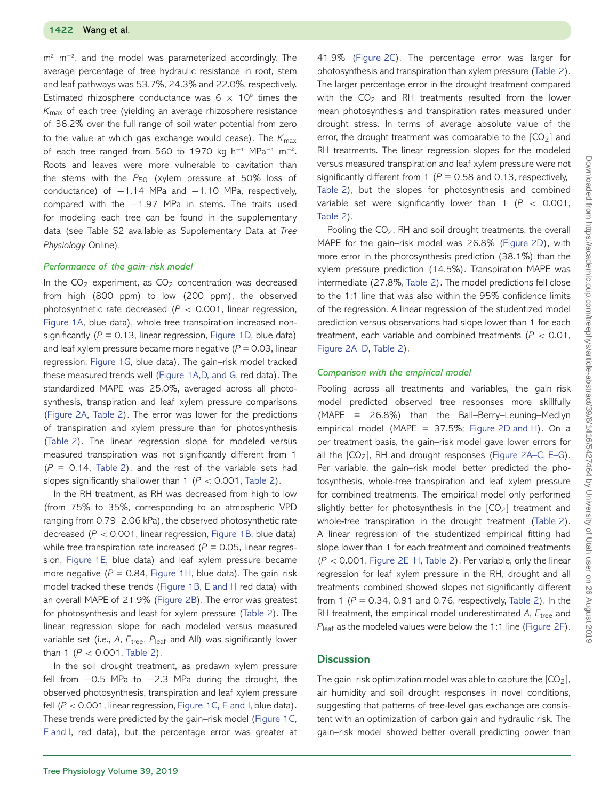m<sup>2</sup> m<sup>-2</sup>, and the model was parameterized accordingly. The average percentage of tree hydraulic resistance in root, stem and leaf pathways was 53.7%, 24.3% and 22.0%, respectively. Estimated rhizosphere conductance was  $6 \times 10^8$  times the *K*max of each tree (yielding an average rhizosphere resistance of 36.2% over the full range of soil water potential from zero to the value at which gas exchange would cease). The *K*max of each tree ranged from 560 to 1970 kg h<sup>-1</sup> MPa<sup>-1</sup> m<sup>-2</sup>. Roots and leaves were more vulnerable to cavitation than the stems with the P<sub>50</sub> (xylem pressure at 50% loss of conductance) of  $-1.14$  MPa and  $-1.10$  MPa, respectively, compared with the −1.97 MPa in stems. The traits used for modeling each tree can be found in the supplementary data (see Table S2 available as Supplementary Data at *Tree Physiology* Online).

#### *Performance of the gain–risk model*

In the  $CO<sub>2</sub>$  experiment, as  $CO<sub>2</sub>$  concentration was decreased from high (800 ppm) to low (200 ppm), the observed photosynthetic rate decreased (*P <* 0.001, linear regression, [Figure 1A,](#page-5-0) blue data), whole tree transpiration increased nonsignificantly  $(P = 0.13$ , linear regression, [Figure 1D,](#page-5-0) blue data) and leaf xylem pressure became more negative  $(P = 0.03$ , linear regression, [Figure 1G,](#page-5-0) blue data). The gain–risk model tracked these measured trends well [\(Figure 1A,D, and G,](#page-5-0) red data). The standardized MAPE was 25.0%, averaged across all photosynthesis, transpiration and leaf xylem pressure comparisons [\(Figure 2A,](#page-7-0) [Table 2\)](#page-8-0). The error was lower for the predictions of transpiration and xylem pressure than for photosynthesis [\(Table 2\)](#page-8-0). The linear regression slope for modeled versus measured transpiration was not significantly different from 1  $(P = 0.14,$  [Table 2\)](#page-8-0), and the rest of the variable sets had slopes significantly shallower than 1 (*P <* 0.001, [Table 2\)](#page-8-0).

In the RH treatment, as RH was decreased from high to low (from 75% to 35%, corresponding to an atmospheric VPD ranging from 0.79–2.06 kPa), the observed photosynthetic rate decreased (*P <* 0.001, linear regression, [Figure 1B,](#page-5-0) blue data) while tree transpiration rate increased  $(P = 0.05$ , linear regression, [Figure 1E,](#page-5-0) blue data) and leaf xylem pressure became more negative  $(P = 0.84$ , [Figure 1H,](#page-5-0) blue data). The gain–risk model tracked these trends [\(Figure 1B, E and H](#page-5-0) red data) with an overall MAPE of 21.9% [\(Figure 2B\)](#page-7-0). The error was greatest for photosynthesis and least for xylem pressure [\(Table 2\)](#page-8-0). The linear regression slope for each modeled versus measured variable set (i.e., *A*, *E*tree, *P*leaf and All) was significantly lower than 1 ( $P < 0.001$ , [Table 2\)](#page-8-0).

In the soil drought treatment, as predawn xylem pressure fell from −0.5 MPa to −2.3 MPa during the drought, the observed photosynthesis, transpiration and leaf xylem pressure fell (*P <* 0.001, linear regression, [Figure 1C, F and I,](#page-5-0) blue data). These trends were predicted by the gain–risk model [\(Figure 1C,](#page-5-0) [F and I,](#page-5-0) red data), but the percentage error was greater at

41.9% [\(Figure 2C\)](#page-7-0). The percentage error was larger for photosynthesis and transpiration than xylem pressure [\(Table 2\)](#page-8-0). The larger percentage error in the drought treatment compared with the  $CO<sub>2</sub>$  and RH treatments resulted from the lower mean photosynthesis and transpiration rates measured under drought stress. In terms of average absolute value of the error, the drought treatment was comparable to the  $[CO<sub>2</sub>]$  and RH treatments. The linear regression slopes for the modeled versus measured transpiration and leaf xylem pressure were not significantly different from 1 (*P* = 0.58 and 0.13, respectively, [Table 2\)](#page-8-0), but the slopes for photosynthesis and combined variable set were significantly lower than 1 (*P <* 0.001, [Table 2\)](#page-8-0).

Pooling the CO<sub>2</sub>, RH and soil drought treatments, the overall MAPE for the gain–risk model was 26.8% [\(Figure 2D\)](#page-7-0), with more error in the photosynthesis prediction (38.1%) than the xylem pressure prediction (14.5%). Transpiration MAPE was intermediate (27.8%, [Table 2\)](#page-8-0). The model predictions fell close to the 1:1 line that was also within the 95% confidence limits of the regression. A linear regression of the studentized model prediction versus observations had slope lower than 1 for each treatment, each variable and combined treatments (*P <* 0.01, [Figure 2A–D,](#page-7-0) [Table 2\)](#page-8-0).

#### *Comparison with the empirical model*

Pooling across all treatments and variables, the gain–risk model predicted observed tree responses more skillfully (MAPE = 26.8%) than the Ball–Berry–Leuning–Medlyn empirical model (MAPE =  $37.5\%$ ; [Figure 2D and H\)](#page-7-0). On a per treatment basis, the gain–risk model gave lower errors for all the  $[CO_2]$ , RH and drought responses [\(Figure 2A–C, E–G\)](#page-7-0). Per variable, the gain–risk model better predicted the photosynthesis, whole-tree transpiration and leaf xylem pressure for combined treatments. The empirical model only performed slightly better for photosynthesis in the  $[CO<sub>2</sub>]$  treatment and whole-tree transpiration in the drought treatment [\(Table 2\)](#page-8-0). A linear regression of the studentized empirical fitting had slope lower than 1 for each treatment and combined treatments (*P <* 0.001, [Figure 2E–H,](#page-7-0) [Table 2\)](#page-8-0). Per variable, only the linear regression for leaf xylem pressure in the RH, drought and all treatments combined showed slopes not significantly different from 1 ( $P = 0.34$ , 0.91 and 0.76, respectively, [Table 2\)](#page-8-0). In the RH treatment, the empirical model underestimated *A*, *E*tree and *P*<sub>leaf</sub> as the modeled values were below the 1:1 line [\(Figure 2F\)](#page-7-0).

#### **Discussion**

The gain–risk optimization model was able to capture the  $[CO<sub>2</sub>]$ , air humidity and soil drought responses in novel conditions, suggesting that patterns of tree-level gas exchange are consistent with an optimization of carbon gain and hydraulic risk. The gain–risk model showed better overall predicting power than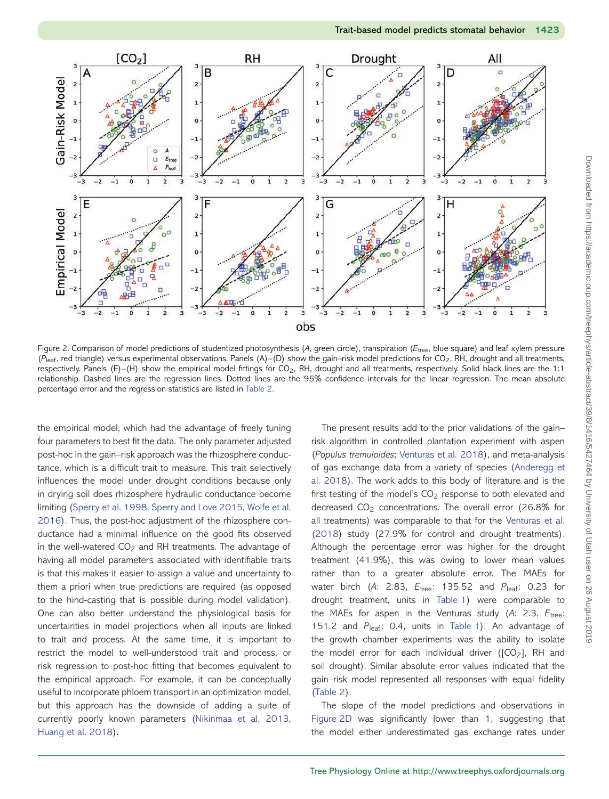

<span id="page-7-0"></span>Figure 2. Comparison of model predictions of studentized photosynthesis (*A*, green circle), transpiration (*E*tree, blue square) and leaf xylem pressure  $(P<sub>leaf</sub>, red triangle)$  versus experimental observations. Panels  $(A)$ – $(D)$  show the gain–risk model predictions for CO<sub>2</sub>, RH, drought and all treatments, respectively. Panels (E)–(H) show the empirical model fittings for CO2, RH, drought and all treatments, respectively. Solid black lines are the 1:1 relationship. Dashed lines are the regression lines. Dotted lines are the 95% confidence intervals for the linear regression. The mean absolute percentage error and the regression statistics are listed in [Table 2.](#page-8-0)

the empirical model, which had the advantage of freely tuning four parameters to best fit the data. The only parameter adjusted post-hoc in the gain–risk approach was the rhizosphere conductance, which is a difficult trait to measure. This trait selectively influences the model under drought conditions because only in drying soil does rhizosphere hydraulic conductance become limiting [\(Sperry et al. 1998,](#page-10-26) [Sperry and Love 2015,](#page-10-15) Wolfe et al. [2016\). Thus, the post-hoc adjustment of the rhizosphere con](#page-11-2)ductance had a minimal influence on the good fits observed in the well-watered  $CO<sub>2</sub>$  and RH treatments. The advantage of having all model parameters associated with identifiable traits is that this makes it easier to assign a value and uncertainty to them a priori when true predictions are required (as opposed to the hind-casting that is possible during model validation). One can also better understand the physiological basis for uncertainties in model projections when all inputs are linked to trait and process. At the same time, it is important to restrict the model to well-understood trait and process, or risk regression to post-hoc fitting that becomes equivalent to the empirical approach. For example, it can be conceptually useful to incorporate phloem transport in an optimization model, but this approach has the downside of adding a suite of currently poorly known parameters [\(Nikinmaa et al. 2013,](#page-10-27) [Huang et al. 2018\)](#page-10-28).

The present results add to the prior validations of the gain– risk algorithm in controlled plantation experiment with aspen (*Populus tremuloides*; [Venturas et al. 2018\)](#page-10-19), and meta-analysis of gas exchange data from a variety of species (Anderegg et [al. 2018\). The work adds to this body of literature and is the](#page-9-15) first testing of the model's CO<sub>2</sub> response to both elevated and decreased CO<sub>2</sub> concentrations. The overall error (26.8% for all treatments) was comparable to that for the Venturas et al. [\(2018\) study \(27.9% for control and drought treatments\).](#page-10-19) Although the percentage error was higher for the drought treatment (41.9%), this was owing to lower mean values rather than to a greater absolute error. The MAEs for water birch (A: 2.83,  $E_{\text{tree}}$ : 135.52 and  $P_{\text{leaf}}$ : 0.23 for drought treatment, units in [Table 1\)](#page-3-0) were comparable to the MAEs for aspen in the Venturas study (*A*: 2.3, *E*tree: 151.2 and P<sub>leaf</sub>: 0.4, units in [Table 1\)](#page-3-0). An advantage of the growth chamber experiments was the ability to isolate the model error for each individual driver ( $[CO<sub>2</sub>]$ , RH and soil drought). Similar absolute error values indicated that the gain–risk model represented all responses with equal fidelity [\(Table 2\)](#page-8-0).

The slope of the model predictions and observations in [Figure 2D](#page-7-0) was significantly lower than 1, suggesting that the model either underestimated gas exchange rates under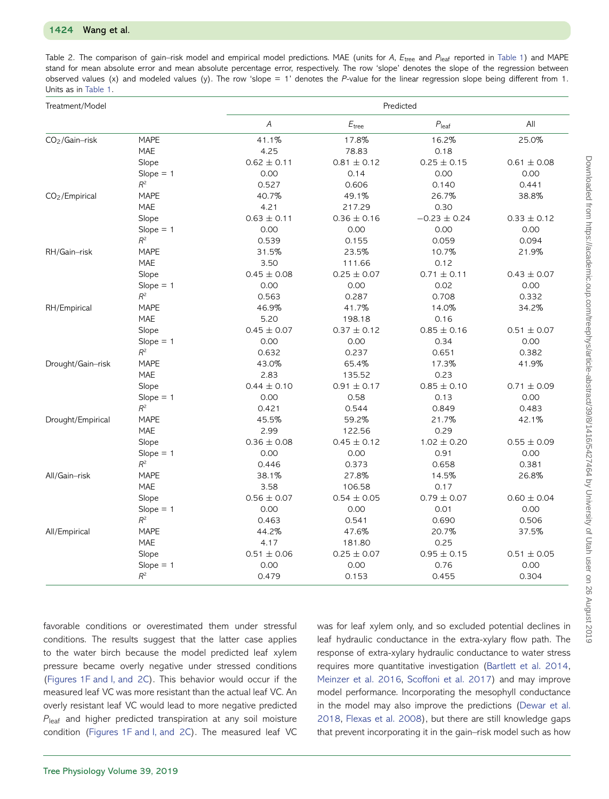<span id="page-8-0"></span>

| Treatment/Model            |                                 | Predicted       |                   |                     |                 |  |
|----------------------------|---------------------------------|-----------------|-------------------|---------------------|-----------------|--|
|                            |                                 | Α               | $E_{\text{tree}}$ | $P_{\mathsf{leaf}}$ | All             |  |
| $CO2/Gain-risk$            | <b>MAPE</b>                     | 41.1%           | 17.8%             | 16.2%               | 25.0%           |  |
|                            | MAE                             | 4.25            | 78.83             | 0.18                |                 |  |
|                            | Slope                           | $0.62 \pm 0.11$ | $0.81 \pm 0.12$   | $0.25 \pm 0.15$     | $0.61 \pm 0.08$ |  |
|                            | $Slope = 1$                     | 0.00            | 0.14              | 0.00                | 0.00            |  |
|                            | $R^2$                           | 0.527           | 0.606             | 0.140               | 0.441           |  |
| CO <sub>2</sub> /Empirical | <b>MAPE</b>                     | 40.7%           | 49.1%             | 26.7%               | 38.8%           |  |
|                            | MAE                             | 4.21            | 217.29            | 0.30                |                 |  |
|                            | Slope                           | $0.63 \pm 0.11$ | $0.36 \pm 0.16$   | $-0.23 \pm 0.24$    | $0.33 \pm 0.12$ |  |
|                            | $Slope = 1$                     | 0.00            | 0.00              | 0.00                | 0.00            |  |
|                            | $R^2$                           | 0.539           | 0.155             | 0.059               | 0.094           |  |
| RH/Gain-risk               | <b>MAPE</b>                     | 31.5%           | 23.5%             | 10.7%               | 21.9%           |  |
|                            | <b>MAE</b>                      | 3.50            | 111.66            | 0.12                |                 |  |
|                            | Slope                           | $0.45 \pm 0.08$ | $0.25 \pm 0.07$   | $0.71 \pm 0.11$     | $0.43 \pm 0.07$ |  |
|                            | $Slope = 1$                     | 0.00            | 0.00              | 0.02                | 0.00            |  |
|                            | $\mathbb{R}^2$                  | 0.563           | 0.287             | 0.708               | 0.332           |  |
| RH/Empirical               | <b>MAPE</b>                     | 46.9%           | 41.7%             | 14.0%               | 34.2%           |  |
|                            | <b>MAE</b>                      | 5.20            | 198.18            | 0.16                |                 |  |
|                            | Slope                           | $0.45 \pm 0.07$ | $0.37 \pm 0.12$   | $0.85 \pm 0.16$     | $0.51 \pm 0.07$ |  |
|                            | $Slope = 1$                     | 0.00            | 0.00              | 0.34                | 0.00            |  |
|                            | $R^2$                           | 0.632           | 0.237             | 0.651               | 0.382           |  |
| Drought/Gain-risk          | <b>MAPE</b>                     | 43.0%           | 65.4%             | 17.3%               | 41.9%           |  |
|                            | <b>MAE</b>                      | 2.83            | 135.52            | 0.23                |                 |  |
|                            | Slope                           | $0.44 \pm 0.10$ | $0.91 \pm 0.17$   | $0.85 \pm 0.10$     | $0.71 \pm 0.09$ |  |
|                            | $Slope = 1$                     | 0.00            | 0.58              | 0.13                | 0.00            |  |
|                            | $R^2$                           | 0.421           | 0.544             | 0.849               | 0.483           |  |
| Drought/Empirical          | <b>MAPE</b>                     | 45.5%           | 59.2%             | 21.7%               | 42.1%           |  |
|                            | MAE                             | 2.99            | 122.56            | 0.29                |                 |  |
|                            | Slope                           | $0.36 \pm 0.08$ | $0.45 \pm 0.12$   | $1.02 \pm 0.20$     | $0.55 \pm 0.09$ |  |
|                            | $Slope = 1$                     | 0.00            | 0.00              | 0.91                | 0.00            |  |
|                            | $R^2$                           | 0.446           | 0.373             | 0.658               | 0.381           |  |
| All/Gain-risk              | <b>MAPE</b>                     | 38.1%           | 27.8%             | 14.5%               | 26.8%           |  |
|                            | <b>MAE</b>                      | 3.58            | 106.58            | 0.17                |                 |  |
|                            | Slope                           | $0.56 \pm 0.07$ | $0.54 \pm 0.05$   | $0.79 \pm 0.07$     | $0.60 \pm 0.04$ |  |
|                            | $Slope = 1$                     | 0.00            | 0.00              | 0.01                | 0.00            |  |
|                            | $\mathbb{R}^2$                  | 0.463           | 0.541             | 0.690               | 0.506           |  |
| All/Empirical              | <b>MAPE</b>                     | 44.2%           | 47.6%             | 20.7%               | 37.5%           |  |
|                            | MAE                             | 4.17            | 181.80            | 0.25                |                 |  |
|                            | Slope                           | $0.51 \pm 0.06$ | $0.25 \pm 0.07$   | $0.95 \pm 0.15$     | $0.51 \pm 0.05$ |  |
|                            | $Slope = 1$                     | 0.00            | 0.00              | 0.76                | 0.00            |  |
|                            | $\ensuremath{\mathnormal{R}}^2$ | 0.479           | 0.153             | 0.455               | 0.304           |  |

favorable conditions or overestimated them under stressful conditions. The results suggest that the latter case applies to the water birch because the model predicted leaf xylem pressure became overly negative under stressed conditions [\(Figures 1F and I, and](#page-5-0) [2C\)](#page-7-0). This behavior would occur if the measured leaf VC was more resistant than the actual leaf VC. An overly resistant leaf VC would lead to more negative predicted *P*<sub>leaf</sub> and higher predicted transpiration at any soil moisture condition [\(Figures 1F and I, and](#page-5-0) [2C\)](#page-7-0). The measured leaf VC was for leaf xylem only, and so excluded potential declines in leaf hydraulic conductance in the extra-xylary flow path. The response of extra-xylary hydraulic conductance to water stress requires more quantitative investigation [\(Bartlett et al. 2014,](#page-9-17) [Meinzer et al. 2016,](#page-10-29) [Scoffoni et al. 2017\)](#page-10-30) and may improve model performance. Incorporating the mesophyll conductance [in the model may also improve the predictions \(Dewar et al.](#page-9-18) 2018, [Flexas et al. 2008\)](#page-10-31), but there are still knowledge gaps that prevent incorporating it in the gain–risk model such as how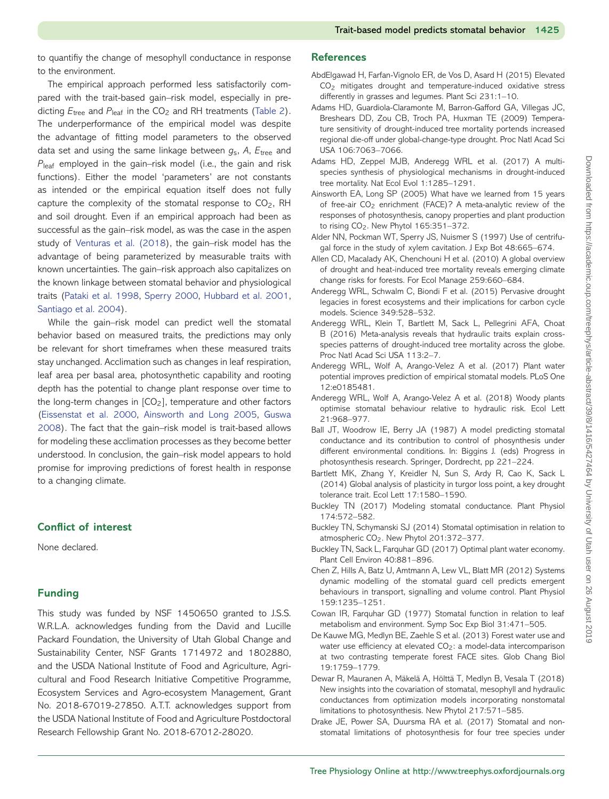to quantifiy the change of mesophyll conductance in response to the environment.

The empirical approach performed less satisfactorily compared with the trait-based gain–risk model, especially in predicting  $E_{\text{tree}}$  and  $P_{\text{leaf}}$  in the CO<sub>2</sub> and RH treatments [\(Table 2\)](#page-8-0). The underperformance of the empirical model was despite the advantage of fitting model parameters to the observed data set and using the same linkage between *g*s, *A*, *E*tree and *P*leaf employed in the gain–risk model (i.e., the gain and risk functions). Either the model 'parameters' are not constants as intended or the empirical equation itself does not fully capture the complexity of the stomatal response to  $CO<sub>2</sub>$ , RH and soil drought. Even if an empirical approach had been as successful as the gain–risk model, as was the case in the aspen study of [Venturas et al. \(2018\)](#page-10-19), the gain–risk model has the advantage of being parameterized by measurable traits with known uncertainties. The gain–risk approach also capitalizes on the known linkage between stomatal behavior and physiological traits [\(Pataki et al. 1998,](#page-10-32) [Sperry 2000,](#page-10-33) [Hubbard et al. 2001,](#page-10-34) [Santiago et al. 2004\)](#page-10-35).

While the gain–risk model can predict well the stomatal behavior based on measured traits, the predictions may only be relevant for short timeframes when these measured traits stay unchanged. Acclimation such as changes in leaf respiration, leaf area per basal area, photosynthetic capability and rooting depth has the potential to change plant response over time to the long-term changes in  $[CO<sub>2</sub>]$ , temperature and other factors [\(Eissenstat et al. 2000,](#page-10-36) [Ainsworth and Long 2005,](#page-9-19) Guswa [2008\). The fact that the gain–risk model is trait-based allows](#page-10-37) for modeling these acclimation processes as they become better understood. In conclusion, the gain–risk model appears to hold promise for improving predictions of forest health in response to a changing climate.

## **Conflict of interest**

None declared.

## **Funding**

This study was funded by NSF 1450650 granted to J.S.S. W.R.L.A. acknowledges funding from the David and Lucille Packard Foundation, the University of Utah Global Change and Sustainability Center, NSF Grants 1714972 and 1802880, and the USDA National Institute of Food and Agriculture, Agricultural and Food Research Initiative Competitive Programme, Ecosystem Services and Agro-ecosystem Management, Grant No. 2018-67019-27850. A.T.T. acknowledges support from the USDA National Institute of Food and Agriculture Postdoctoral Research Fellowship Grant No. 2018-67012-28020.

## **References**

- <span id="page-9-2"></span>AbdElgawad H, Farfan-Vignolo ER, de Vos D, Asard H (2015) Elevated CO2 mitigates drought and temperature-induced oxidative stress differently in grasses and legumes. Plant Sci 231:1–10.
- <span id="page-9-0"></span>Adams HD, Guardiola-Claramonte M, Barron-Gafford GA, Villegas JC, Breshears DD, Zou CB, Troch PA, Huxman TE (2009) Temperature sensitivity of drought-induced tree mortality portends increased regional die-off under global-change-type drought. Proc Natl Acad Sci USA 106:7063–7066.
- <span id="page-9-10"></span>Adams HD, Zeppel MJB, Anderegg WRL et al. (2017) A multispecies synthesis of physiological mechanisms in drought-induced tree mortality. Nat Ecol Evol 1:1285–1291.
- <span id="page-9-19"></span>Ainsworth EA, Long SP (2005) What have we learned from 15 years of free-air CO<sub>2</sub> enrichment (FACE)? A meta-analytic review of the responses of photosynthesis, canopy properties and plant production to rising CO<sub>2</sub>. New Phytol 165:351-372.
- <span id="page-9-16"></span>Alder NN, Pockman WT, Sperry JS, Nuismer S (1997) Use of centrifugal force in the study of xylem cavitation. J Exp Bot 48:665–674.
- <span id="page-9-1"></span>Allen CD, Macalady AK, Chenchouni H et al. (2010) A global overview of drought and heat-induced tree mortality reveals emerging climate change risks for forests. For Ecol Manage 259:660–684.
- <span id="page-9-9"></span>Anderegg WRL, Schwalm C, Biondi F et al. (2015) Pervasive drought legacies in forest ecosystems and their implications for carbon cycle models. Science 349:528–532.
- <span id="page-9-8"></span>Anderegg WRL, Klein T, Bartlett M, Sack L, Pellegrini AFA, Choat B (2016) Meta-analysis reveals that hydraulic traits explain crossspecies patterns of drought-induced tree mortality across the globe. Proc Natl Acad Sci USA 113:2–7.
- <span id="page-9-4"></span>Anderegg WRL, Wolf A, Arango-Velez A et al. (2017) Plant water potential improves prediction of empirical stomatal models. PLoS One 12:e0185481.
- <span id="page-9-15"></span>Anderegg WRL, Wolf A, Arango-Velez A et al. (2018) Woody plants optimise stomatal behaviour relative to hydraulic risk. Ecol Lett 21:968–977.
- <span id="page-9-5"></span>Ball JT, Woodrow IE, Berry JA (1987) A model predicting stomatal conductance and its contribution to control of phosynthesis under different environmental conditions. In: Biggins J. (eds) Progress in photosynthesis research. Springer, Dordrecht, pp 221–224.
- <span id="page-9-17"></span>Bartlett MK, Zhang Y, Kreidler N, Sun S, Ardy R, Cao K, Sack L (2014) Global analysis of plasticity in turgor loss point, a key drought tolerance trait. Ecol Lett 17:1580–1590.
- <span id="page-9-14"></span>Buckley TN (2017) Modeling stomatal conductance. Plant Physiol 174:572–582.
- <span id="page-9-13"></span>Buckley TN, Schymanski SJ (2014) Stomatal optimisation in relation to atmospheric CO<sub>2</sub>. New Phytol 201:372-377.
- <span id="page-9-12"></span>Buckley TN, Sack L, Farquhar GD (2017) Optimal plant water economy. Plant Cell Environ 40:881–896.
- <span id="page-9-3"></span>Chen Z, Hills A, Batz U, Amtmann A, Lew VL, Blatt MR (2012) Systems dynamic modelling of the stomatal guard cell predicts emergent behaviours in transport, signalling and volume control. Plant Physiol 159:1235–1251.
- <span id="page-9-11"></span>Cowan IR, Farquhar GD (1977) Stomatal function in relation to leaf metabolism and environment. Symp Soc Exp Biol 31:471–505.
- <span id="page-9-6"></span>De Kauwe MG, Medlyn BE, Zaehle S et al. (2013) Forest water use and water use efficiency at elevated CO<sub>2</sub>: a model-data intercomparison at two contrasting temperate forest FACE sites. Glob Chang Biol 19:1759–1779.
- <span id="page-9-18"></span>Dewar R, Mauranen A, Mäkelä A, Hölttä T, Medlyn B, Vesala T (2018) New insights into the covariation of stomatal, mesophyll and hydraulic conductances from optimization models incorporating nonstomatal limitations to photosynthesis. New Phytol 217:571–585.
- <span id="page-9-7"></span>Drake JE, Power SA, Duursma RA et al. (2017) Stomatal and nonstomatal limitations of photosynthesis for four tree species under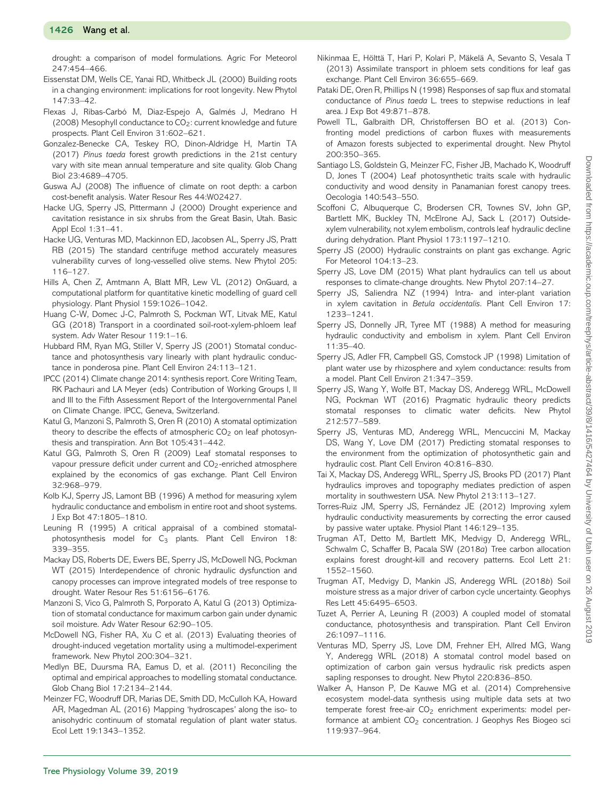drought: a comparison of model formulations. Agric For Meteorol 247:454–466.

- <span id="page-10-36"></span>Eissenstat DM, Wells CE, Yanai RD, Whitbeck JL (2000) Building roots in a changing environment: implications for root longevity. New Phytol 147:33–42.
- <span id="page-10-31"></span>Flexas J, Ribas-Carbó M, Diaz-Espejo A, Galmés J, Medrano H (2008) Mesophyll conductance to  $CO<sub>2</sub>$ : current knowledge and future prospects. Plant Cell Environ 31:602–621.
- <span id="page-10-1"></span>Gonzalez-Benecke CA, Teskey RO, Dinon-Aldridge H, Martin TA (2017) *Pinus taeda* forest growth predictions in the 21st century vary with site mean annual temperature and site quality. Glob Chang Biol 23:4689–4705.
- <span id="page-10-37"></span>Guswa AJ (2008) The influence of climate on root depth: a carbon cost-benefit analysis. Water Resour Res 44:W02427.
- <span id="page-10-22"></span>Hacke UG, Sperry JS, Pittermann J (2000) Drought experience and cavitation resistance in six shrubs from the Great Basin, Utah. Basic Appl Ecol 1:31–41.
- <span id="page-10-24"></span>Hacke UG, Venturas MD, Mackinnon ED, Jacobsen AL, Sperry JS, Pratt RB (2015) The standard centrifuge method accurately measures vulnerability curves of long-vesselled olive stems. New Phytol 205: 116–127.
- <span id="page-10-11"></span>Hills A, Chen Z, Amtmann A, Blatt MR, Lew VL (2012) OnGuard, a computational platform for quantitative kinetic modelling of guard cell physiology. Plant Physiol 159:1026–1042.
- <span id="page-10-28"></span>Huang C-W, Domec J-C, Palmroth S, Pockman WT, Litvak ME, Katul GG (2018) Transport in a coordinated soil-root-xylem-phloem leaf system. Adv Water Resour 119:1–16.
- <span id="page-10-34"></span>Hubbard RM, Ryan MG, Stiller V, Sperry JS (2001) Stomatal conductance and photosynthesis vary linearly with plant hydraulic conductance in ponderosa pine. Plant Cell Environ 24:113–121.
- <span id="page-10-0"></span>IPCC (2014) Climate change 2014: synthesis report. Core Writing Team, RK Pachauri and LA Meyer (eds) Contribution of Working Groups I, II and III to the Fifth Assessment Report of the Intergovernmental Panel on Climate Change. IPCC, Geneva, Switzerland.
- <span id="page-10-3"></span>Katul G, Manzoni S, Palmroth S, Oren R (2010) A stomatal optimization theory to describe the effects of atmospheric  $CO<sub>2</sub>$  on leaf photosynthesis and transpiration. Ann Bot 105:431–442.
- <span id="page-10-2"></span>Katul GG, Palmroth S, Oren R (2009) Leaf stomatal responses to vapour pressure deficit under current and CO<sub>2</sub>-enriched atmosphere explained by the economics of gas exchange. Plant Cell Environ 32:968–979.
- <span id="page-10-25"></span>Kolb KJ, Sperry JS, Lamont BB (1996) A method for measuring xylem hydraulic conductance and embolism in entire root and shoot systems. J Exp Bot 47:1805–1810.
- <span id="page-10-8"></span>Leuning R (1995) A critical appraisal of a combined stomatalphotosynthesis model for  $C_3$  plants. Plant Cell Environ 18: 339–355.
- <span id="page-10-6"></span>Mackay DS, Roberts DE, Ewers BE, Sperry JS, McDowell NG, Pockman WT (2015) Interdependence of chronic hydraulic dysfunction and canopy processes can improve integrated models of tree response to drought. Water Resour Res 51:6156–6176.
- <span id="page-10-18"></span>Manzoni S, Vico G, Palmroth S, Porporato A, Katul G (2013) Optimization of stomatal conductance for maximum carbon gain under dynamic soil moisture. Adv Water Resour 62:90–105.
- <span id="page-10-5"></span>McDowell NG, Fisher RA, Xu C et al. (2013) Evaluating theories of drought-induced vegetation mortality using a multimodel-experiment framework. New Phytol 200:304–321.
- <span id="page-10-4"></span>Medlyn BE, Duursma RA, Eamus D, et al. (2011) Reconciling the optimal and empirical approaches to modelling stomatal conductance. Glob Chang Biol 17:2134–2144.
- <span id="page-10-29"></span>Meinzer FC, Woodruff DR, Marias DE, Smith DD, McCulloh KA, Howard AR, Magedman AL (2016) Mapping 'hydroscapes' along the iso- to anisohydric continuum of stomatal regulation of plant water status. Ecol Lett 19:1343–1352.
- <span id="page-10-27"></span>Nikinmaa E, Hölttä T, Hari P, Kolari P, Mäkelä A, Sevanto S, Vesala T (2013) Assimilate transport in phloem sets conditions for leaf gas exchange. Plant Cell Environ 36:655–669.
- <span id="page-10-32"></span>Pataki DE, Oren R, Phillips N (1998) Responses of sap flux and stomatal conductance of *Pinus taeda* L. trees to stepwise reductions in leaf area. J Exp Bot 49:871–878.
- <span id="page-10-13"></span>Powell TL, Galbraith DR, Christoffersen BO et al. (2013) Confronting model predictions of carbon fluxes with measurements of Amazon forests subjected to experimental drought. New Phytol 200:350–365.
- <span id="page-10-35"></span>Santiago LS, Goldstein G, Meinzer FC, Fisher JB, Machado K, Woodruff D, Jones T (2004) Leaf photosynthetic traits scale with hydraulic conductivity and wood density in Panamanian forest canopy trees. Oecologia 140:543–550.
- <span id="page-10-30"></span>Scoffoni C, Albuquerque C, Brodersen CR, Townes SV, John GP, Bartlett MK, Buckley TN, McElrone AJ, Sack L (2017) Outsidexylem vulnerability, not xylem embolism, controls leaf hydraulic decline during dehydration. Plant Physiol 173:1197–1210.
- <span id="page-10-33"></span>Sperry JS (2000) Hydraulic constraints on plant gas exchange. Agric For Meteorol 104:13–23.
- <span id="page-10-15"></span>Sperry JS, Love DM (2015) What plant hydraulics can tell us about responses to climate-change droughts. New Phytol 207:14–27.
- <span id="page-10-20"></span>Sperry JS, Saliendra NZ (1994) Intra- and inter-plant variation in xylem cavitation in *Betula occidentalis*. Plant Cell Environ 17: 1233–1241.
- <span id="page-10-21"></span>Sperry JS, Donnelly JR, Tyree MT (1988) A method for measuring hydraulic conductivity and embolism in xylem. Plant Cell Environ 11:35–40.
- <span id="page-10-26"></span>Sperry JS, Adler FR, Campbell GS, Comstock JP (1998) Limitation of plant water use by rhizosphere and xylem conductance: results from a model. Plant Cell Environ 21:347–359.
- <span id="page-10-16"></span>Sperry JS, Wang Y, Wolfe BT, Mackay DS, Anderegg WRL, McDowell NG, Pockman WT (2016) Pragmatic hydraulic theory predicts stomatal responses to climatic water deficits. New Phytol 212:577–589.
- <span id="page-10-12"></span>Sperry JS, Venturas MD, Anderegg WRL, Mencuccini M, Mackay DS, Wang Y, Love DM (2017) Predicting stomatal responses to the environment from the optimization of photosynthetic gain and hydraulic cost. Plant Cell Environ 40:816–830.
- <span id="page-10-7"></span>Tai X, Mackay DS, Anderegg WRL, Sperry JS, Brooks PD (2017) Plant hydraulics improves and topography mediates prediction of aspen mortality in southwestern USA. New Phytol 213:113–127.
- <span id="page-10-23"></span>Torres-Ruiz JM, Sperry JS, Fernández JE (2012) Improving xylem hydraulic conductivity measurements by correcting the error caused by passive water uptake. Physiol Plant 146:129–135.
- <span id="page-10-17"></span>Trugman AT, Detto M, Bartlett MK, Medvigy D, Anderegg WRL, Schwalm C, Schaffer B, Pacala SW (2018*a*) Tree carbon allocation explains forest drought-kill and recovery patterns. Ecol Lett 21: 1552–1560.
- <span id="page-10-14"></span>Trugman AT, Medvigy D, Mankin JS, Anderegg WRL (2018*b*) Soil moisture stress as a major driver of carbon cycle uncertainty. Geophys Res Lett 45:6495–6503.
- <span id="page-10-9"></span>Tuzet A, Perrier A, Leuning R (2003) A coupled model of stomatal conductance, photosynthesis and transpiration. Plant Cell Environ 26:1097–1116.
- <span id="page-10-19"></span>Venturas MD, Sperry JS, Love DM, Frehner EH, Allred MG, Wang Y, Anderegg WRL (2018) A stomatal control model based on optimization of carbon gain versus hydraulic risk predicts aspen sapling responses to drought. New Phytol 220:836–850.
- <span id="page-10-10"></span>Walker A, Hanson P, De Kauwe MG et al. (2014) Comprehensive ecosystem model-data synthesis using multiple data sets at two temperate forest free-air CO<sub>2</sub> enrichment experiments: model performance at ambient CO<sub>2</sub> concentration. J Geophys Res Biogeo sci 119:937–964.